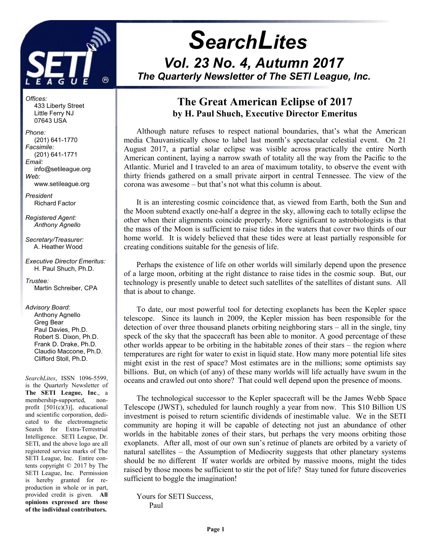

Offices: 433 Liberty Street Little Ferry NJ 07643 USA

Phone: (201) 641-1770 Facsimile: (201) 641-1771 Email: info@setileague.org Web: www.setileague.org

President Richard Factor

Registered Agent: Anthony Agnello

Secretary/Treasurer: A. Heather Wood

Executive Director Emeritus: H. Paul Shuch, Ph.D.

Trustee: Martin Schreiber, CPA

#### Advisory Board:

 Anthony Agnello Greg Bear Paul Davies, Ph.D. Robert S. Dixon, Ph.D. Frank D. Drake, Ph.D. Claudio Maccone, Ph.D. Clifford Stoll, Ph.D.

SearchLites, ISSN 1096-5599, is the Quarterly Newsletter of The SETI League, Inc., a membership-supported, nonprofit [501(c)(3)], educational and scientific corporation, dedicated to the electromagnetic Search for Extra-Terrestrial Intelligence. SETI League, Dr. SETI, and the above logo are all registered service marks of The SETI League, Inc. Entire contents copyright © 2017 by The SETI League, Inc. Permission is hereby granted for reproduction in whole or in part, provided credit is given. All opinions expressed are those of the individual contributors.

# **SearchLites** Vol. 23 No. 4, Autumn 2017

The Quarterly Newsletter of The SETI League, Inc. j

# The Great American Eclipse of 2017 by H. Paul Shuch, Executive Director Emeritus

Although nature refuses to respect national boundaries, that's what the American media Chauvanistically chose to label last month's spectacular celestial event. On 21 August 2017, a partial solar eclipse was visible across practically the entire North American continent, laying a narrow swath of totality all the way from the Pacific to the Atlantic. Muriel and I traveled to an area of maximum totality, to observe the event with thirty friends gathered on a small private airport in central Tennessee. The view of the corona was awesome – but that's not what this column is about.

It is an interesting cosmic coincidence that, as viewed from Earth, both the Sun and the Moon subtend exactly one-half a degree in the sky, allowing each to totally eclipse the other when their alignments coincide properly. More significant to astrobiologists is that the mass of the Moon is sufficient to raise tides in the waters that cover two thirds of our home world. It is widely believed that these tides were at least partially responsible for creating conditions suitable for the genesis of life.

Perhaps the existence of life on other worlds will similarly depend upon the presence of a large moon, orbiting at the right distance to raise tides in the cosmic soup. But, our technology is presently unable to detect such satellites of the satellites of distant suns. All that is about to change.

To date, our most powerful tool for detecting exoplanets has been the Kepler space telescope. Since its launch in 2009, the Kepler mission has been responsible for the detection of over three thousand planets orbiting neighboring stars – all in the single, tiny speck of the sky that the spacecraft has been able to monitor. A good percentage of these other worlds appear to be orbiting in the habitable zones of their stars – the region where temperatures are right for water to exist in liquid state. How many more potential life sites might exist in the rest of space? Most estimates are in the millions; some optimists say billions. But, on which (of any) of these many worlds will life actually have swum in the oceans and crawled out onto shore? That could well depend upon the presence of moons.

The technological successor to the Kepler spacecraft will be the James Webb Space Telescope (JWST), scheduled for launch roughly a year from now. This \$10 Billion US investment is poised to return scientific dividends of inestimable value. We in the SETI community are hoping it will be capable of detecting not just an abundance of other worlds in the habitable zones of their stars, but perhaps the very moons orbiting those exoplanets. After all, most of our own sun's retinue of planets are orbited by a variety of natural satellites – the Assumption of Mediocrity suggests that other planetary systems should be no different If water worlds are orbited by massive moons, might the tides raised by those moons be sufficient to stir the pot of life? Stay tuned for future discoveries sufficient to boggle the imagination!

Yours for SETI Success, Paul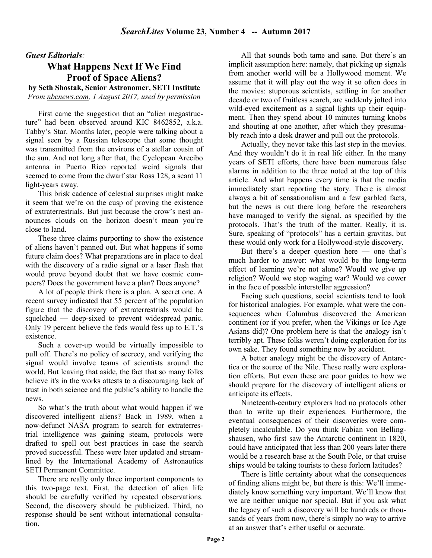## Guest Editorials:

# What Happens Next If We Find Proof of Space Aliens?

#### by Seth Shostak, Senior Astronomer, SETI Institute From nbcnews.com, 1 August 2017, used by permission

First came the suggestion that an "alien megastructure" had been observed around KIC 8462852, a.k.a. Tabby's Star. Months later, people were talking about a signal seen by a Russian telescope that some thought was transmitted from the environs of a stellar cousin of the sun. And not long after that, the Cyclopean Arecibo antenna in Puerto Rico reported weird signals that seemed to come from the dwarf star Ross 128, a scant 11 light-years away.

This brisk cadence of celestial surprises might make it seem that we're on the cusp of proving the existence of extraterrestrials. But just because the crow's nest announces clouds on the horizon doesn't mean you're close to land.

These three claims purporting to show the existence of aliens haven't panned out. But what happens if some future claim does? What preparations are in place to deal with the discovery of a radio signal or a laser flash that would prove beyond doubt that we have cosmic compeers? Does the government have a plan? Does anyone?

A lot of people think there is a plan. A secret one. A recent survey indicated that 55 percent of the population figure that the discovery of extraterrestrials would be squelched — deep-sixed to prevent widespread panic. Only 19 percent believe the feds would fess up to E.T.'s existence.

Such a cover-up would be virtually impossible to pull off. There's no policy of secrecy, and verifying the signal would involve teams of scientists around the world. But leaving that aside, the fact that so many folks believe it's in the works attests to a discouraging lack of trust in both science and the public's ability to handle the news.

So what's the truth about what would happen if we discovered intelligent aliens? Back in 1989, when a now-defunct NASA program to search for extraterrestrial intelligence was gaining steam, protocols were drafted to spell out best practices in case the search proved successful. These were later updated and streamlined by the International Academy of Astronautics SETI Permanent Committee.

There are really only three important components to this two-page text. First, the detection of alien life should be carefully verified by repeated observations. Second, the discovery should be publicized. Third, no response should be sent without international consultation.

All that sounds both tame and sane. But there's an implicit assumption here: namely, that picking up signals from another world will be a Hollywood moment. We assume that it will play out the way it so often does in the movies: stuporous scientists, settling in for another decade or two of fruitless search, are suddenly jolted into wild-eyed excitement as a signal lights up their equipment. Then they spend about 10 minutes turning knobs and shouting at one another, after which they presumably reach into a desk drawer and pull out the protocols.

Actually, they never take this last step in the movies. And they wouldn't do it in real life either. In the many years of SETI efforts, there have been numerous false alarms in addition to the three noted at the top of this article. And what happens every time is that the media immediately start reporting the story. There is almost always a bit of sensationalism and a few garbled facts, but the news is out there long before the researchers have managed to verify the signal, as specified by the protocols. That's the truth of the matter. Really, it is. Sure, speaking of "protocols" has a certain gravitas, but these would only work for a Hollywood-style discovery.

But there's a deeper question here — one that's much harder to answer: what would be the long-term effect of learning we're not alone? Would we give up religion? Would we stop waging war? Would we cower in the face of possible interstellar aggression?

Facing such questions, social scientists tend to look for historical analogies. For example, what were the consequences when Columbus discovered the American continent (or if you prefer, when the Vikings or Ice Age Asians did)? One problem here is that the analogy isn't terribly apt. These folks weren't doing exploration for its own sake. They found something new by accident.

A better analogy might be the discovery of Antarctica or the source of the Nile. These really were exploration efforts. But even these are poor guides to how we should prepare for the discovery of intelligent aliens or anticipate its effects.

Nineteenth-century explorers had no protocols other than to write up their experiences. Furthermore, the eventual consequences of their discoveries were completely incalculable. Do you think Fabian von Bellingshausen, who first saw the Antarctic continent in 1820, could have anticipated that less than 200 years later there would be a research base at the South Pole, or that cruise ships would be taking tourists to these forlorn latitudes?

There is little certainty about what the consequences of finding aliens might be, but there is this: We'll immediately know something very important. We'll know that we are neither unique nor special. But if you ask what the legacy of such a discovery will be hundreds or thousands of years from now, there's simply no way to arrive at an answer that's either useful or accurate.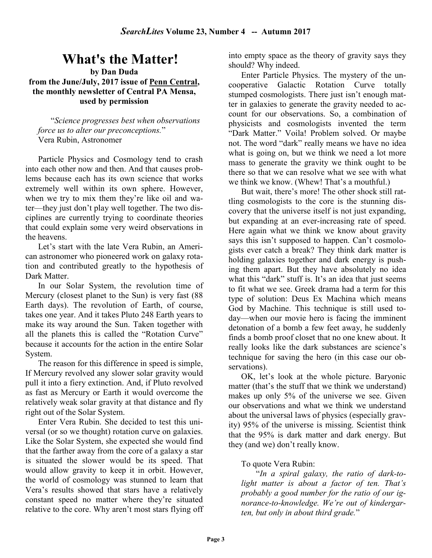# What's the Matter!

## by Dan Duda from the June/July, 2017 issue of Penn Central, the monthly newsletter of Central PA Mensa, used by permission

"Science progresses best when observations force us to alter our preconceptions." Vera Rubin, Astronomer

Particle Physics and Cosmology tend to crash into each other now and then. And that causes problems because each has its own science that works extremely well within its own sphere. However, when we try to mix them they're like oil and water—they just don't play well together. The two disciplines are currently trying to coordinate theories that could explain some very weird observations in the heavens.

Let's start with the late Vera Rubin, an American astronomer who pioneered work on galaxy rotation and contributed greatly to the hypothesis of Dark Matter.

In our Solar System, the revolution time of Mercury (closest planet to the Sun) is very fast (88 Earth days). The revolution of Earth, of course, takes one year. And it takes Pluto 248 Earth years to make its way around the Sun. Taken together with all the planets this is called the "Rotation Curve" because it accounts for the action in the entire Solar System.

The reason for this difference in speed is simple, If Mercury revolved any slower solar gravity would pull it into a fiery extinction. And, if Pluto revolved as fast as Mercury or Earth it would overcome the relatively weak solar gravity at that distance and fly right out of the Solar System.

Enter Vera Rubin. She decided to test this universal (or so we thought) rotation curve on galaxies. Like the Solar System, she expected she would find that the farther away from the core of a galaxy a star is situated the slower would be its speed. That would allow gravity to keep it in orbit. However, the world of cosmology was stunned to learn that Vera's results showed that stars have a relatively constant speed no matter where they're situated relative to the core. Why aren't most stars flying off into empty space as the theory of gravity says they should? Why indeed.

Enter Particle Physics. The mystery of the uncooperative Galactic Rotation Curve totally stumped cosmologists. There just isn't enough matter in galaxies to generate the gravity needed to account for our observations. So, a combination of physicists and cosmologists invented the term "Dark Matter." Voila! Problem solved. Or maybe not. The word "dark" really means we have no idea what is going on, but we think we need a lot more mass to generate the gravity we think ought to be there so that we can resolve what we see with what we think we know. (Whew! That's a mouthful.)

But wait, there's more! The other shock still rattling cosmologists to the core is the stunning discovery that the universe itself is not just expanding, but expanding at an ever-increasing rate of speed. Here again what we think we know about gravity says this isn't supposed to happen. Can't cosmologists ever catch a break? They think dark matter is holding galaxies together and dark energy is pushing them apart. But they have absolutely no idea what this "dark" stuff is. It's an idea that just seems to fit what we see. Greek drama had a term for this type of solution: Deus Ex Machina which means God by Machine. This technique is still used today—when our movie hero is facing the imminent detonation of a bomb a few feet away, he suddenly finds a bomb proof closet that no one knew about. It really looks like the dark substances are science's technique for saving the hero (in this case our observations).

OK, let's look at the whole picture. Baryonic matter (that's the stuff that we think we understand) makes up only 5% of the universe we see. Given our observations and what we think we understand about the universal laws of physics (especially gravity) 95% of the universe is missing. Scientist think that the 95% is dark matter and dark energy. But they (and we) don't really know.

To quote Vera Rubin:

 "In a spiral galaxy, the ratio of dark-tolight matter is about a factor of ten. That's probably a good number for the ratio of our ignorance-to-knowledge. We're out of kindergarten, but only in about third grade."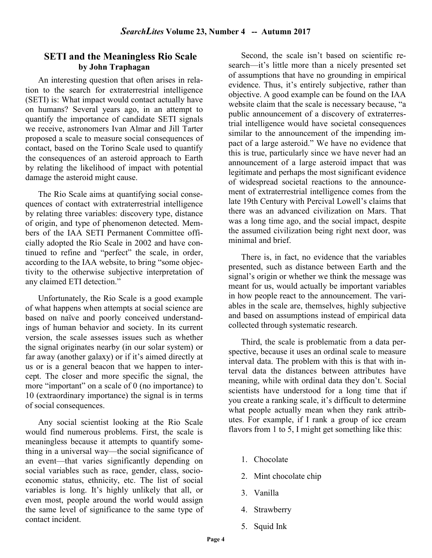## SETI and the Meaningless Rio Scale by John Traphagan

An interesting question that often arises in relation to the search for extraterrestrial intelligence (SETI) is: What impact would contact actually have on humans? Several years ago, in an attempt to quantify the importance of candidate SETI signals we receive, astronomers Ivan Almar and Jill Tarter proposed a scale to measure social consequences of contact, based on the Torino Scale used to quantify the consequences of an asteroid approach to Earth by relating the likelihood of impact with potential damage the asteroid might cause.

The Rio Scale aims at quantifying social consequences of contact with extraterrestrial intelligence by relating three variables: discovery type, distance of origin, and type of phenomenon detected. Members of the IAA SETI Permanent Committee officially adopted the Rio Scale in 2002 and have continued to refine and "perfect" the scale, in order, according to the IAA website, to bring "some objectivity to the otherwise subjective interpretation of any claimed ETI detection."

Unfortunately, the Rio Scale is a good example of what happens when attempts at social science are based on naïve and poorly conceived understandings of human behavior and society. In its current version, the scale assesses issues such as whether the signal originates nearby (in our solar system) or far away (another galaxy) or if it's aimed directly at us or is a general beacon that we happen to intercept. The closer and more specific the signal, the more "important" on a scale of 0 (no importance) to 10 (extraordinary importance) the signal is in terms of social consequences.

Any social scientist looking at the Rio Scale would find numerous problems. First, the scale is meaningless because it attempts to quantify something in a universal way—the social significance of an event—that varies significantly depending on social variables such as race, gender, class, socioeconomic status, ethnicity, etc. The list of social variables is long. It's highly unlikely that all, or even most, people around the world would assign the same level of significance to the same type of contact incident.

Second, the scale isn't based on scientific research—it's little more than a nicely presented set of assumptions that have no grounding in empirical evidence. Thus, it's entirely subjective, rather than objective. A good example can be found on the IAA website claim that the scale is necessary because, "a public announcement of a discovery of extraterrestrial intelligence would have societal consequences similar to the announcement of the impending impact of a large asteroid." We have no evidence that this is true, particularly since we have never had an announcement of a large asteroid impact that was legitimate and perhaps the most significant evidence of widespread societal reactions to the announcement of extraterrestrial intelligence comes from the late 19th Century with Percival Lowell's claims that there was an advanced civilization on Mars. That was a long time ago, and the social impact, despite the assumed civilization being right next door, was minimal and brief.

There is, in fact, no evidence that the variables presented, such as distance between Earth and the signal's origin or whether we think the message was meant for us, would actually be important variables in how people react to the announcement. The variables in the scale are, themselves, highly subjective and based on assumptions instead of empirical data collected through systematic research.

Third, the scale is problematic from a data perspective, because it uses an ordinal scale to measure interval data. The problem with this is that with interval data the distances between attributes have meaning, while with ordinal data they don't. Social scientists have understood for a long time that if you create a ranking scale, it's difficult to determine what people actually mean when they rank attributes. For example, if I rank a group of ice cream flavors from 1 to 5, I might get something like this:

- 1. Chocolate
- 2. Mint chocolate chip
- 3. Vanilla
- 4. Strawberry
- 5. Squid Ink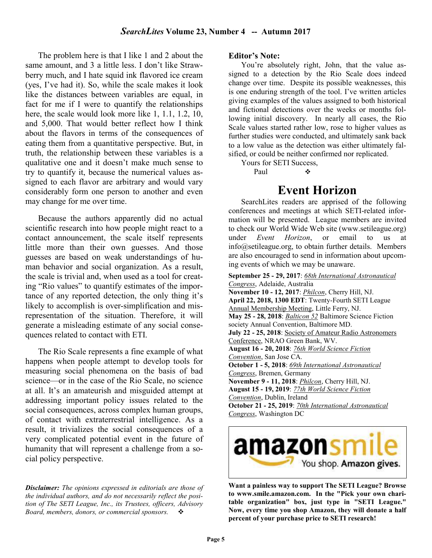The problem here is that I like 1 and 2 about the same amount, and 3 a little less. I don't like Strawberry much, and I hate squid ink flavored ice cream (yes, I've had it). So, while the scale makes it look like the distances between variables are equal, in fact for me if I were to quantify the relationships here, the scale would look more like 1, 1.1, 1.2, 10, and 5,000. That would better reflect how I think about the flavors in terms of the consequences of eating them from a quantitative perspective. But, in truth, the relationship between these variables is a qualitative one and it doesn't make much sense to try to quantify it, because the numerical values assigned to each flavor are arbitrary and would vary considerably form one person to another and even may change for me over time.

Because the authors apparently did no actual scientific research into how people might react to a contact announcement, the scale itself represents little more than their own guesses. And those guesses are based on weak understandings of human behavior and social organization. As a result, the scale is trivial and, when used as a tool for creating "Rio values" to quantify estimates of the importance of any reported detection, the only thing it's likely to accomplish is over-simplification and misrepresentation of the situation. Therefore, it will generate a misleading estimate of any social consequences related to contact with ETI.

The Rio Scale represents a fine example of what happens when people attempt to develop tools for measuring social phenomena on the basis of bad science—or in the case of the Rio Scale, no science at all. It's an amateurish and misguided attempt at addressing important policy issues related to the social consequences, across complex human groups, of contact with extraterrestrial intelligence. As a result, it trivializes the social consequences of a very complicated potential event in the future of humanity that will represent a challenge from a social policy perspective.

**Disclaimer:** The opinions expressed in editorials are those of the individual authors, and do not necessarily reflect the position of The SETI League, Inc., its Trustees, officers, Advisory Board, members, donors, or commercial sponsors.

#### Editor's Note:

 You're absolutely right, John, that the value assigned to a detection by the Rio Scale does indeed change over time. Despite its possible weaknesses, this is one enduring strength of the tool. I've written articles giving examples of the values assigned to both historical and fictional detections over the weeks or months following initial discovery. In nearly all cases, the Rio Scale values started rather low, rose to higher values as further studies were conducted, and ultimately sank back to a low value as the detection was either ultimately falsified, or could be neither confirmed nor replicated.

Yours for SETI Success,

Paul

# Event Horizon

SearchLites readers are apprised of the following conferences and meetings at which SETI-related information will be presented. League members are invited to check our World Wide Web site (www.setileague.org) under *Event Horizon*, or email to us at info@setileague.org, to obtain further details. Members are also encouraged to send in information about upcoming events of which we may be unaware.

September 25 - 29, 2017: 68th International Astronautical Congress, Adelaide, Australia November 10 - 12, 2017: Philcon, Cherry Hill, NJ. April 22, 2018, 1300 EDT: Twenty-Fourth SETI League Annual Membership Meeting, Little Ferry, NJ. May 25 - 28, 2018: Balticon 52 Baltimore Science Fiction society Annual Convention, Baltimore MD. July 22 - 25, 2018: Society of Amateur Radio Astronomers Conference, NRAO Green Bank, WV. August 16 - 20, 2018: 76th World Science Fiction Convention, San Jose CA. October 1 - 5, 2018: 69th International Astronautical Congress, Bremen, Germany November 9 - 11, 2018: Philcon, Cherry Hill, NJ. August 15 - 19, 2019: 77th World Science Fiction Convention, Dublin, Ireland October 21 - 25, 2019: 70th International Astronautical Congress, Washington DC



Want a painless way to support The SETI League? Browse to www.smile.amazon.com. In the "Pick your own charitable organization" box, just type in "SETI League." Now, every time you shop Amazon, they will donate a half percent of your purchase price to SETI research!